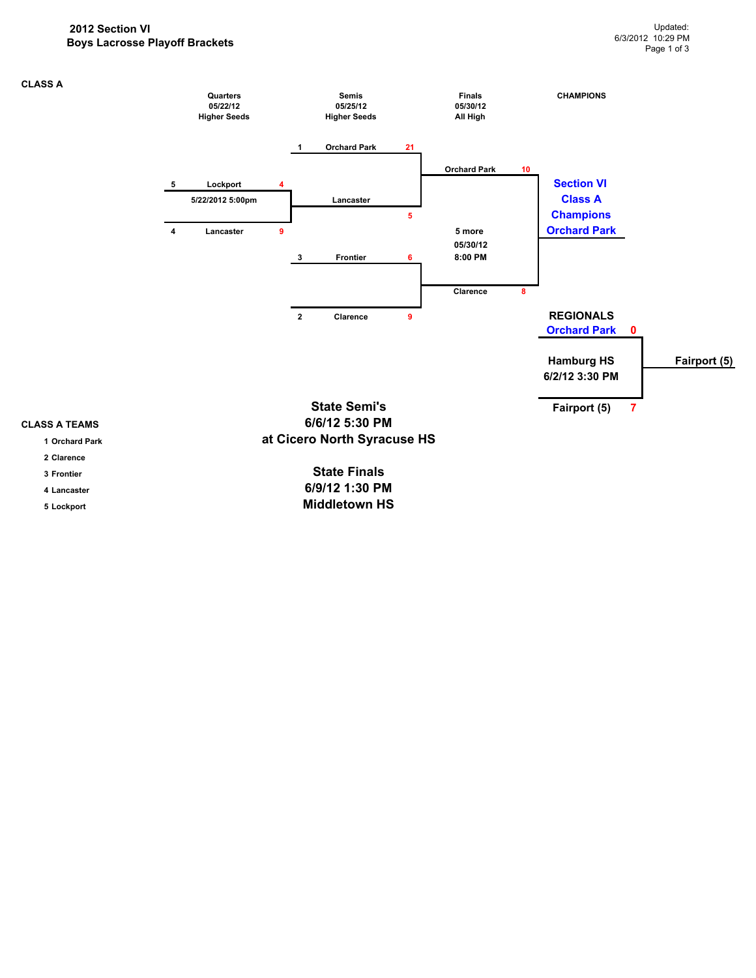### **2012 Section VI Boys Lacrosse Playoff Brackets**

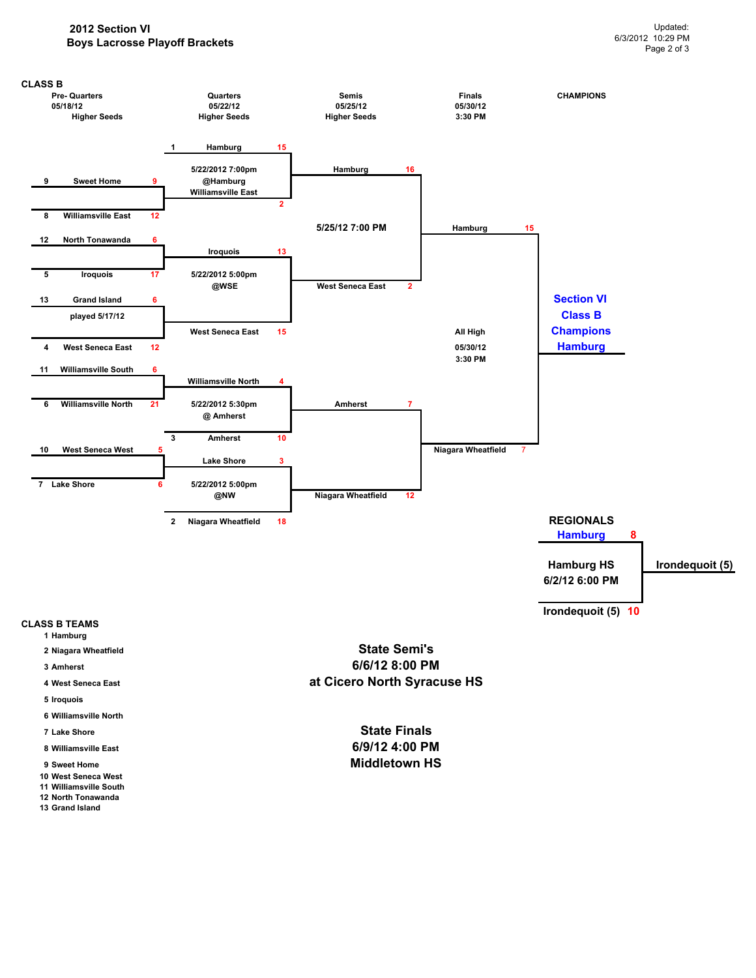### **2012 Section VI Boys Lacrosse Playoff Brackets**



- **2 Niagara Wheatfield**
- **3 Amherst**
- **4 West Seneca East**
- **5 Iroquois**
- **6 Williamsville North**
- **7 Lake Shore**
- **8 Williamsville East**
- **9 Sweet Home**
- **10 West Seneca West 11 Williamsville South**
- **12 North Tonawanda**
- **13 Grand Island**

**State Semi's 6/6/12 8:00 PM at Cicero North Syracuse HS**

> **6/9/12 4:00 PM Middletown HS State Finals**